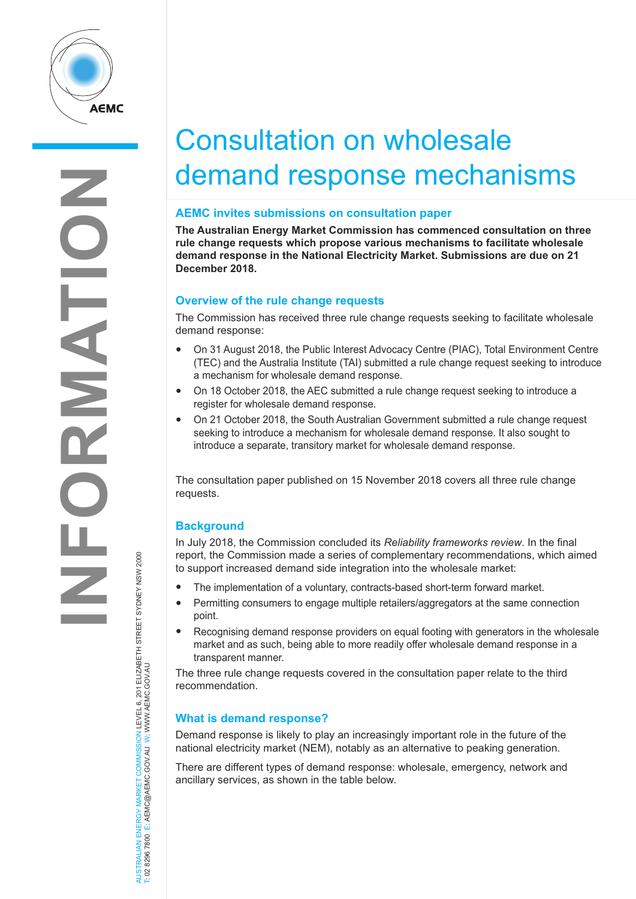

# Consultation on wholesale demand response mechanisms

## **AEMC invites submissions on consultation paper**

**The Australian Energy Market Commission has commenced consultation on three rule change requests which propose various mechanisms to facilitate wholesale demand response in the National Electricity Market. Submissions are due on 21 December 2018.**

## **Overview of the rule change requests**

The Commission has received three rule change requests seeking to facilitate wholesale demand response:

- On <sup>31</sup> August 2018, the Public Interest Advocacy Centre (PIAC), Total Environment Centre (TEC) and the Australia Institute (TAI) submitted a rule change request seeking to introduce a mechanism for wholesale demand response.
- On <sup>18</sup> October 2018, the AEC submitted <sup>a</sup> rule change request seeking to introduce <sup>a</sup> register for wholesale demand response.
- On 21 October 2018, the South Australian Government submitted a rule change request seeking to introduce a mechanism for wholesale demand response. It also sought to introduce a separate, transitory market for wholesale demand response.

The consultation paper published on 15 November 2018 covers all three rule change requests.

## **Background**

In July 2018, the Commission concluded its *Reliability frameworks review*. In the final report, the Commission made a series of complementary recommendations, which aimed to support increased demand side integration into the wholesale market:

- The implementation of <sup>a</sup> voluntary, contracts-based short-term forward market.
- Permitting consumers to engage multiple retailers/aggregators at the same connection point.
- Recognising demand response providers on equal footing with generators in the wholesale market and as such, being able to more readily offer wholesale demand response in a transparent manner.

The three rule change requests covered in the consultation paper relate to the third recommendation.

## **What is demand response?**

Demand response is likely to play an increasingly important role in the future of the national electricity market (NEM), notably as an alternative to peaking generation.

There are different types of demand response: wholesale, emergency, network and ancillary services, as shown in the table below.

AUSTRALIAN ENERGY MARKET COMMISSION LEVEL 6, 201 ELIZABETH STREET SYDNEY NSW 2000 T: 02 8296 7800 E: AEMC@AEMC.GOV.AU W: W W W.AEMC.GOV.AU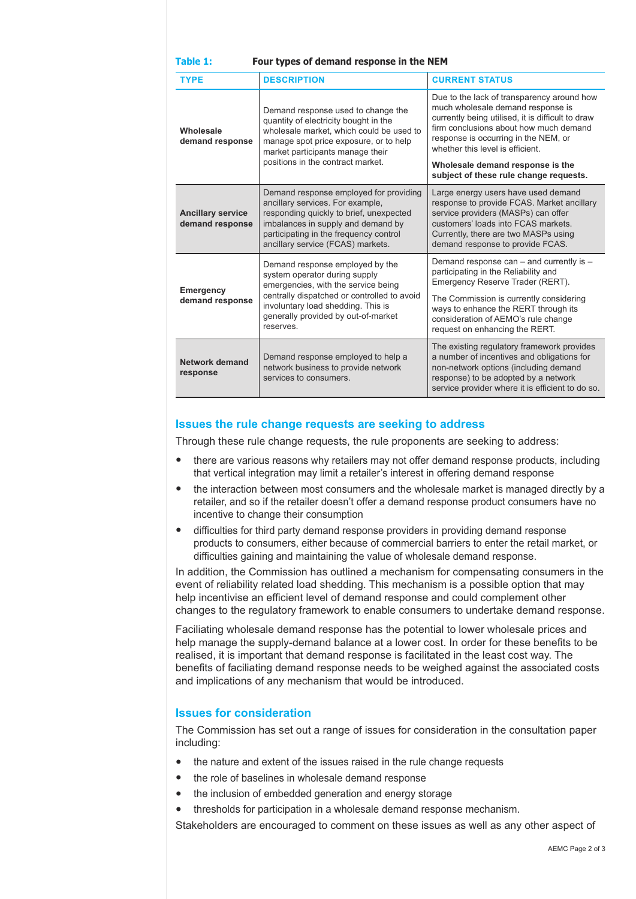| Table 1:<br>Four types of demand response in the NEM |                                                                                                                                                                                                                                                  |                                                                                                                                                                                                                                                            |
|------------------------------------------------------|--------------------------------------------------------------------------------------------------------------------------------------------------------------------------------------------------------------------------------------------------|------------------------------------------------------------------------------------------------------------------------------------------------------------------------------------------------------------------------------------------------------------|
| <b>TYPE</b>                                          | <b>DESCRIPTION</b>                                                                                                                                                                                                                               | <b>CURRENT STATUS</b>                                                                                                                                                                                                                                      |
| Wholesale<br>demand response                         | Demand response used to change the<br>quantity of electricity bought in the<br>wholesale market, which could be used to<br>manage spot price exposure, or to help<br>market participants manage their<br>positions in the contract market.       | Due to the lack of transparency around how<br>much wholesale demand response is<br>currently being utilised, it is difficult to draw<br>firm conclusions about how much demand<br>response is occurring in the NEM, or<br>whether this level is efficient. |
|                                                      |                                                                                                                                                                                                                                                  | Wholesale demand response is the<br>subject of these rule change requests.                                                                                                                                                                                 |
| <b>Ancillary service</b><br>demand response          | Demand response employed for providing<br>ancillary services. For example,<br>responding quickly to brief, unexpected<br>imbalances in supply and demand by<br>participating in the frequency control<br>ancillary service (FCAS) markets.       | Large energy users have used demand<br>response to provide FCAS. Market ancillary<br>service providers (MASPs) can offer<br>customers' loads into FCAS markets.<br>Currently, there are two MASPs using<br>demand response to provide FCAS.                |
| <b>Emergency</b><br>demand response                  | Demand response employed by the<br>system operator during supply<br>emergencies, with the service being<br>centrally dispatched or controlled to avoid<br>involuntary load shedding. This is<br>generally provided by out-of-market<br>reserves. | Demand response can – and currently is –<br>participating in the Reliability and<br>Emergency Reserve Trader (RERT).                                                                                                                                       |
|                                                      |                                                                                                                                                                                                                                                  | The Commission is currently considering<br>ways to enhance the RERT through its<br>consideration of AEMO's rule change<br>request on enhancing the RERT.                                                                                                   |
| Network demand<br>response                           | Demand response employed to help a<br>network business to provide network<br>services to consumers.                                                                                                                                              | The existing regulatory framework provides<br>a number of incentives and obligations for<br>non-network options (including demand<br>response) to be adopted by a network<br>service provider where it is efficient to do so.                              |

### **Issues the rule change requests are seeking to address**

Through these rule change requests, the rule proponents are seeking to address:

- there are various reasons why retailers may not offer demand response products, including that vertical integration may limit a retailer's interest in offering demand response
- the interaction between most consumers and the wholesale market is managed directly by <sup>a</sup> retailer, and so if the retailer doesn't offer a demand response product consumers have no incentive to change their consumption
- difficulties for third party demand response providers in providing demand response products to consumers, either because of commercial barriers to enter the retail market, or difficulties gaining and maintaining the value of wholesale demand response.

In addition, the Commission has outlined a mechanism for compensating consumers in the event of reliability related load shedding. This mechanism is a possible option that may help incentivise an efficient level of demand response and could complement other changes to the regulatory framework to enable consumers to undertake demand response.

Faciliating wholesale demand response has the potential to lower wholesale prices and help manage the supply-demand balance at a lower cost. In order for these benefits to be realised, it is important that demand response is facilitated in the least cost way. The benefits of faciliating demand response needs to be weighed against the associated costs and implications of any mechanism that would be introduced.

#### **Issues for consideration**

The Commission has set out a range of issues for consideration in the consultation paper including:

- the nature and extent of the issues raised in the rule change requests
- the role of baselines in wholesale demand response
- the inclusion of embedded generation and energy storage
- thresholds for participation in <sup>a</sup> wholesale demand response mechanism.

Stakeholders are encouraged to comment on these issues as well as any other aspect of